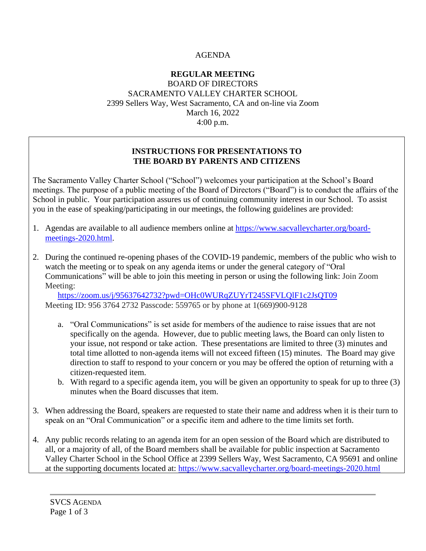# AGENDA

## **REGULAR MEETING** BOARD OF DIRECTORS SACRAMENTO VALLEY CHARTER SCHOOL 2399 Sellers Way, West Sacramento, CA and on-line via Zoom March 16, 2022 4:00 p.m.

## **INSTRUCTIONS FOR PRESENTATIONS TO THE BOARD BY PARENTS AND CITIZENS**

The Sacramento Valley Charter School ("School") welcomes your participation at the School's Board meetings. The purpose of a public meeting of the Board of Directors ("Board") is to conduct the affairs of the School in public. Your participation assures us of continuing community interest in our School. To assist you in the ease of speaking/participating in our meetings, the following guidelines are provided:

- 1. Agendas are available to all audience members online at [https://www.sacvalleycharter.org/board](about:blank)[meetings-2020.html.](about:blank)
- 2. During the continued re-opening phases of the COVID-19 pandemic, members of the public who wish to watch the meeting or to speak on any agenda items or under the general category of "Oral Communications" will be able to join this meeting in person or using the following link: Join Zoom Meeting:

<https://zoom.us/j/95637642732?pwd=OHc0WURqZUYrT245SFVLQlF1c2JsQT09> Meeting ID: 956 3764 2732 Passcode: 559765 or by phone at 1(669)900-9128

- a. "Oral Communications" is set aside for members of the audience to raise issues that are not specifically on the agenda. However, due to public meeting laws, the Board can only listen to your issue, not respond or take action. These presentations are limited to three (3) minutes and total time allotted to non-agenda items will not exceed fifteen (15) minutes. The Board may give direction to staff to respond to your concern or you may be offered the option of returning with a citizen-requested item.
- b. With regard to a specific agenda item, you will be given an opportunity to speak for up to three (3) minutes when the Board discusses that item.
- 3. When addressing the Board, speakers are requested to state their name and address when it is their turn to speak on an "Oral Communication" or a specific item and adhere to the time limits set forth.
- 4. Any public records relating to an agenda item for an open session of the Board which are distributed to all, or a majority of all, of the Board members shall be available for public inspection at Sacramento Valley Charter School in the School Office at 2399 Sellers Way, West Sacramento, CA 95691 and online at the supporting documents located at: [https://www.sacvalleycharter.org/board-meetings-2020.html](about:blank)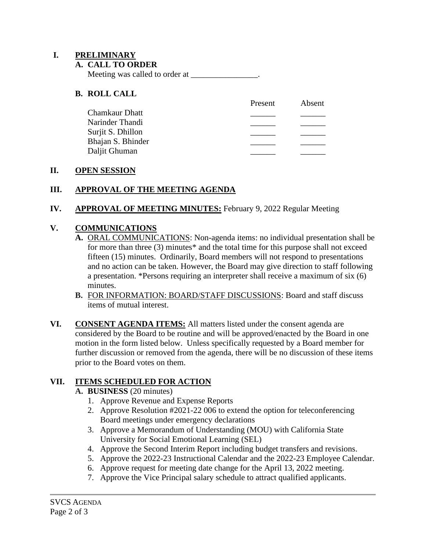## **I. PRELIMINARY**

#### **A. CALL TO ORDER**

Meeting was called to order at \_\_\_\_\_\_\_\_\_\_\_\_\_\_\_\_.

## **B. ROLL CALL**

| Present | Absent |
|---------|--------|
|         |        |
|         |        |
|         |        |
|         |        |
|         |        |
|         |        |

### **II. OPEN SESSION**

## **III. APPROVAL OF THE MEETING AGENDA**

### **IV. APPROVAL OF MEETING MINUTES:** February 9, 2022 Regular Meeting

## **V. COMMUNICATIONS**

- **A.** ORAL COMMUNICATIONS: Non-agenda items: no individual presentation shall be for more than three (3) minutes\* and the total time for this purpose shall not exceed fifteen (15) minutes. Ordinarily, Board members will not respond to presentations and no action can be taken. However, the Board may give direction to staff following a presentation. \*Persons requiring an interpreter shall receive a maximum of six (6) minutes.
- **B.** FOR INFORMATION: BOARD/STAFF DISCUSSIONS: Board and staff discuss items of mutual interest.
- **VI. CONSENT AGENDA ITEMS:** All matters listed under the consent agenda are considered by the Board to be routine and will be approved/enacted by the Board in one motion in the form listed below. Unless specifically requested by a Board member for further discussion or removed from the agenda, there will be no discussion of these items prior to the Board votes on them.

# **VII. ITEMS SCHEDULED FOR ACTION**

### **A. BUSINESS** (20 minutes)

- 1. Approve Revenue and Expense Reports
- 2. Approve Resolution #2021-22 006 to extend the option for teleconferencing Board meetings under emergency declarations
- 3. Approve a Memorandum of Understanding (MOU) with California State University for Social Emotional Learning (SEL)
- 4. Approve the Second Interim Report including budget transfers and revisions.
- 5. Approve the 2022-23 Instructional Calendar and the 2022-23 Employee Calendar.
- 6. Approve request for meeting date change for the April 13, 2022 meeting.
- 7. Approve the Vice Principal salary schedule to attract qualified applicants.